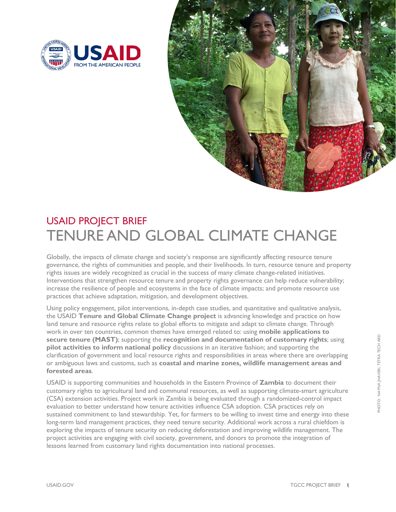



## USAID PROJECT BRIEF TENURE AND GLOBAL CLIMATE CHANGE

Globally, the impacts of climate change and society's response are significantly affecting resource tenure governance, the rights of communities and people, and their livelihoods. In turn, resource tenure and property rights issues are widely recognized as crucial in the success of many climate change-related initiatives. Interventions that strengthen resource tenure and property rights governance can help reduce vulnerability; increase the resilience of people and ecosystems in the face of climate impacts; and promote resource use practices that achieve adaptation, mitigation, and development objectives.

Using policy engagement, pilot interventions, in-depth case studies, and quantitative and qualitative analysis, the USAID **Tenure and Global Climate Change project** is advancing knowledge and practice on how land tenure and resource rights relate to global efforts to mitigate and adapt to climate change. Through work in over ten countries, common themes have emerged related to: using **mobile applications to secure tenure (MAST)**; supporting the **recognition and documentation of customary rights**; using **pilot activities to inform national policy** discussions in an iterative fashion; and supporting the clarification of government and local resource rights and responsibilities in areas where there are overlapping or ambiguous laws and customs, such as **coastal and marine zones, wildlife management areas and forested areas**.

USAID is supporting communities and households in the Eastern Province of **Zambia** to document their customary rights to agricultural land and communal resources, as well as supporting climate-smart agriculture (CSA) extension activities. Project work in Zambia is being evaluated through a randomized-control impact evaluation to better understand how tenure activities influence CSA adoption. CSA practices rely on sustained commitment to land stewardship. Yet, for farmers to be willing to invest time and energy into these long-term land management practices, they need tenure security. Additional work across a rural chiefdom is exploring the impacts of tenure security on reducing deforestation and improving wildlife management. The project activities are engaging with civil society, government, and donors to promote the integration of lessons learned from customary land rights documentation into national processes.